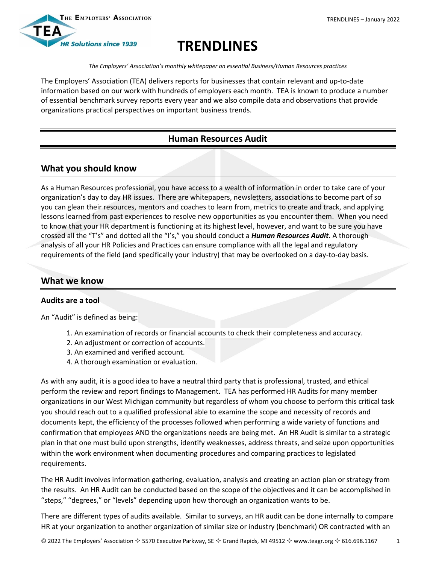

# **TRENDLINES**

*The Employers' Association's monthly whitepaper on essential Business/Human Resources practices*

The Employers' Association (TEA) delivers reports for businesses that contain relevant and up-to-date information based on our work with hundreds of employers each month. TEA is known to produce a number of essential benchmark survey reports every year and we also compile data and observations that provide organizations practical perspectives on important business trends.

# **Human Resources Audit**

## **What you should know**

As a Human Resources professional, you have access to a wealth of information in order to take care of your organization's day to day HR issues. There are whitepapers, newsletters, associations to become part of so you can glean their resources, mentors and coaches to learn from, metrics to create and track, and applying lessons learned from past experiences to resolve new opportunities as you encounter them. When you need to know that your HR department is functioning at its highest level, however, and want to be sure you have crossed all the "T's" and dotted all the "I's," you should conduct a *Human Resources Audit.* A thorough analysis of all your HR Policies and Practices can ensure compliance with all the legal and regulatory requirements of the field (and specifically your industry) that may be overlooked on a day-to-day basis.

## **What we know**

#### **Audits are a tool**

An "Audit" is defined as being:

- 1. An examination of records or financial accounts to check their completeness and accuracy.
- 2. An adjustment or correction of accounts.
- 3. An examined and verified account.
- 4. A thorough examination or evaluation.

As with any audit, it is a good idea to have a neutral third party that is professional, trusted, and ethical perform the review and report findings to Management. TEA has performed HR Audits for many member organizations in our West Michigan community but regardless of whom you choose to perform this critical task you should reach out to a qualified professional able to examine the scope and necessity of records and documents kept, the efficiency of the processes followed when performing a wide variety of functions and confirmation that employees AND the organizations needs are being met. An HR Audit is similar to a strategic plan in that one must build upon strengths, identify weaknesses, address threats, and seize upon opportunities within the work environment when documenting procedures and comparing practices to legislated requirements.

The HR Audit involves information gathering, evaluation, analysis and creating an action plan or strategy from the results. An HR Audit can be conducted based on the scope of the objectives and it can be accomplished in "steps," "degrees," or "levels" depending upon how thorough an organization wants to be.

There are different types of audits available. Similar to surveys, an HR audit can be done internally to compare HR at your organization to another organization of similar size or industry (benchmark) OR contracted with an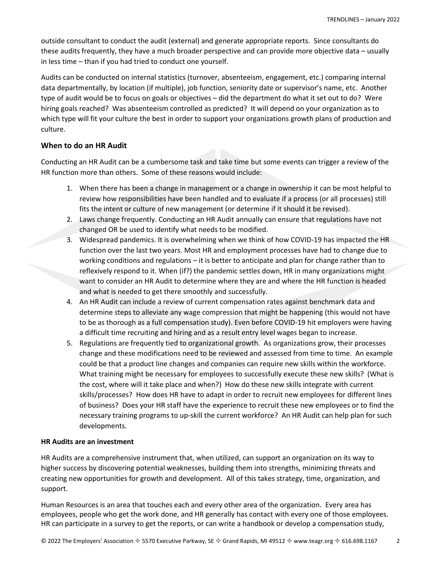outside consultant to conduct the audit (external) and generate appropriate reports. Since consultants do these audits frequently, they have a much broader perspective and can provide more objective data – usually in less time – than if you had tried to conduct one yourself.

Audits can be conducted on internal statistics (turnover, absenteeism, engagement, etc.) comparing internal data departmentally, by location (if multiple), job function, seniority date or supervisor's name, etc. Another type of audit would be to focus on goals or objectives – did the department do what it set out to do? Were hiring goals reached? Was absenteeism controlled as predicted? It will depend on your organization as to which type will fit your culture the best in order to support your organizations growth plans of production and culture.

### **When to do an HR Audit**

Conducting an HR Audit can be a cumbersome task and take time but some events can trigger a review of the HR function more than others. Some of these reasons would include:

- 1. When there has been a change in management or a change in ownership it can be most helpful to review how responsibilities have been handled and to evaluate if a process (or all processes) still fits the intent or culture of new management (or determine if it should it be revised).
- 2. Laws change frequently. Conducting an HR Audit annually can ensure that regulations have not changed OR be used to identify what needs to be modified.
- 3. Widespread pandemics. It is overwhelming when we think of how COVID-19 has impacted the HR function over the last two years. Most HR and employment processes have had to change due to working conditions and regulations – it is better to anticipate and plan for change rather than to reflexively respond to it. When (if?) the pandemic settles down, HR in many organizations might want to consider an HR Audit to determine where they are and where the HR function is headed and what is needed to get there smoothly and successfully.
- 4. An HR Audit can include a review of current compensation rates against benchmark data and determine steps to alleviate any wage compression that might be happening (this would not have to be as thorough as a full compensation study). Even before COVID-19 hit employers were having a difficult time recruiting and hiring and as a result entry level wages began to increase.
- 5. Regulations are frequently tied to organizational growth. As organizations grow, their processes change and these modifications need to be reviewed and assessed from time to time. An example could be that a product line changes and companies can require new skills within the workforce. What training might be necessary for employees to successfully execute these new skills? (What is the cost, where will it take place and when?) How do these new skills integrate with current skills/processes? How does HR have to adapt in order to recruit new employees for different lines of business? Does your HR staff have the experience to recruit these new employees or to find the necessary training programs to up-skill the current workforce? An HR Audit can help plan for such developments.

#### **HR Audits are an investment**

HR Audits are a comprehensive instrument that, when utilized, can support an organization on its way to higher success by discovering potential weaknesses, building them into strengths, minimizing threats and creating new opportunities for growth and development. All of this takes strategy, time, organization, and support.

Human Resources is an area that touches each and every other area of the organization. Every area has employees, people who get the work done, and HR generally has contact with every one of those employees. HR can participate in a survey to get the reports, or can write a handbook or develop a compensation study,